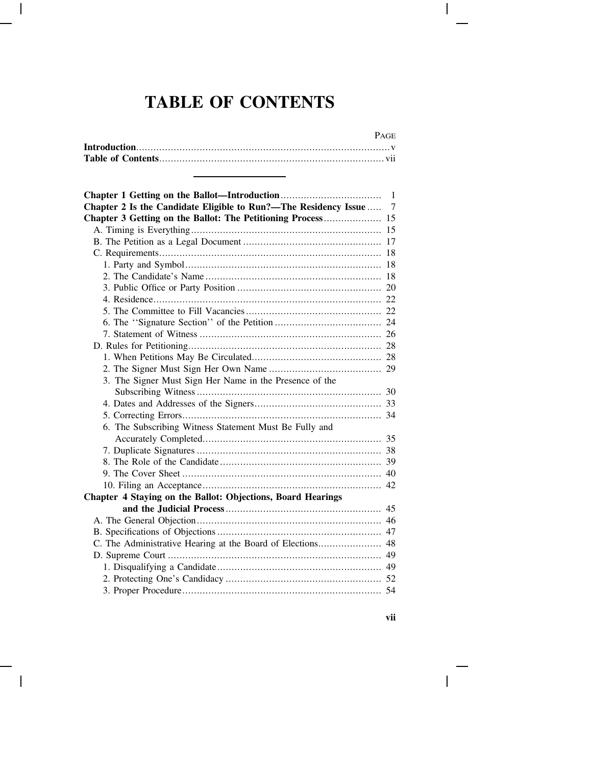## **TABLE OF CONTENTS**

## PAGE

| Chapter 2 Is the Candidate Eligible to Run?-The Residency Issue  7 |  |
|--------------------------------------------------------------------|--|
| Chapter 3 Getting on the Ballot: The Petitioning Process 15        |  |
|                                                                    |  |
|                                                                    |  |
|                                                                    |  |
|                                                                    |  |
|                                                                    |  |
|                                                                    |  |
|                                                                    |  |
|                                                                    |  |
|                                                                    |  |
|                                                                    |  |
|                                                                    |  |
|                                                                    |  |
|                                                                    |  |
| 3. The Signer Must Sign Her Name in the Presence of the            |  |
|                                                                    |  |
|                                                                    |  |
|                                                                    |  |
| 6. The Subscribing Witness Statement Must Be Fully and             |  |
|                                                                    |  |
|                                                                    |  |
|                                                                    |  |
|                                                                    |  |
|                                                                    |  |
| Chapter 4 Staying on the Ballot: Objections, Board Hearings        |  |
|                                                                    |  |
|                                                                    |  |
|                                                                    |  |
| C. The Administrative Hearing at the Board of Elections 48         |  |
|                                                                    |  |
|                                                                    |  |
|                                                                    |  |
|                                                                    |  |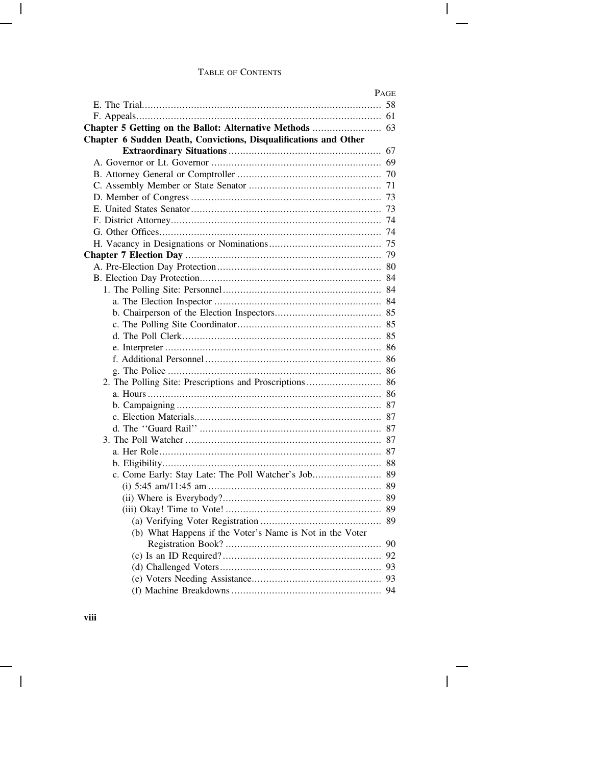|                                                                  | Page |
|------------------------------------------------------------------|------|
|                                                                  |      |
|                                                                  |      |
|                                                                  |      |
| Chapter 6 Sudden Death, Convictions, Disqualifications and Other |      |
|                                                                  |      |
|                                                                  |      |
|                                                                  |      |
|                                                                  |      |
|                                                                  | 73   |
|                                                                  |      |
|                                                                  |      |
|                                                                  |      |
|                                                                  |      |
|                                                                  |      |
|                                                                  |      |
|                                                                  |      |
|                                                                  |      |
|                                                                  |      |
|                                                                  |      |
|                                                                  |      |
|                                                                  |      |
|                                                                  |      |
|                                                                  |      |
|                                                                  |      |
|                                                                  |      |
|                                                                  |      |
|                                                                  |      |
|                                                                  |      |
|                                                                  |      |
|                                                                  |      |
|                                                                  |      |
|                                                                  |      |
|                                                                  |      |
|                                                                  |      |
|                                                                  |      |
|                                                                  |      |
|                                                                  |      |
| (b) What Happens if the Voter's Name is Not in the Voter         |      |
|                                                                  |      |
|                                                                  |      |
|                                                                  |      |
|                                                                  |      |
|                                                                  |      |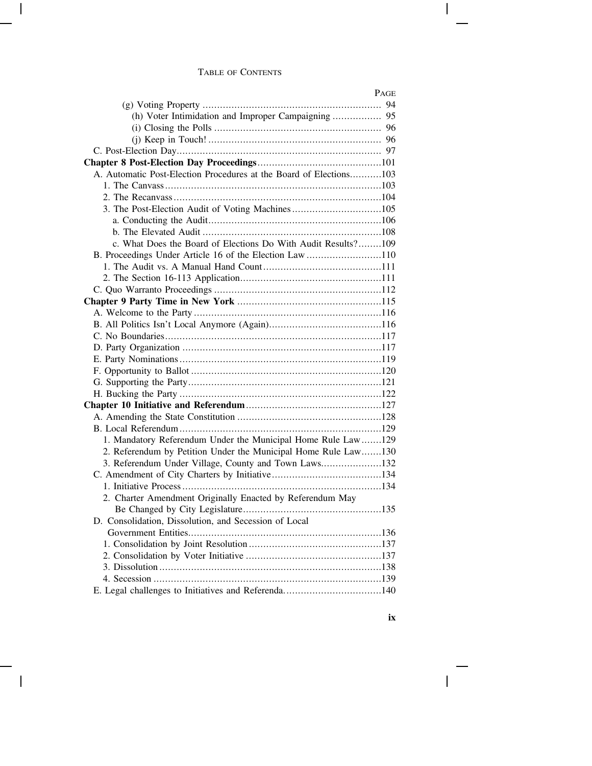|                                                                    | PAGE |
|--------------------------------------------------------------------|------|
|                                                                    |      |
| (h) Voter Intimidation and Improper Campaigning  95                |      |
|                                                                    |      |
|                                                                    |      |
|                                                                    |      |
|                                                                    |      |
| A. Automatic Post-Election Procedures at the Board of Elections103 |      |
|                                                                    |      |
|                                                                    |      |
| 3. The Post-Election Audit of Voting Machines105                   |      |
|                                                                    |      |
|                                                                    |      |
| c. What Does the Board of Elections Do With Audit Results?109      |      |
| B. Proceedings Under Article 16 of the Election Law 110            |      |
|                                                                    |      |
|                                                                    |      |
|                                                                    |      |
|                                                                    |      |
|                                                                    |      |
|                                                                    |      |
|                                                                    |      |
|                                                                    |      |
|                                                                    |      |
|                                                                    |      |
|                                                                    |      |
|                                                                    |      |
|                                                                    |      |
|                                                                    |      |
|                                                                    |      |
| 1. Mandatory Referendum Under the Municipal Home Rule Law129       |      |
| 2. Referendum by Petition Under the Municipal Home Rule Law130     |      |
| 3. Referendum Under Village, County and Town Laws132               |      |
|                                                                    |      |
|                                                                    |      |
| 2. Charter Amendment Originally Enacted by Referendum May          |      |
|                                                                    |      |
| D. Consolidation, Dissolution, and Secession of Local              |      |
|                                                                    |      |
|                                                                    |      |
|                                                                    |      |
|                                                                    |      |
|                                                                    |      |
| E. Legal challenges to Initiatives and Referenda140                |      |
|                                                                    |      |